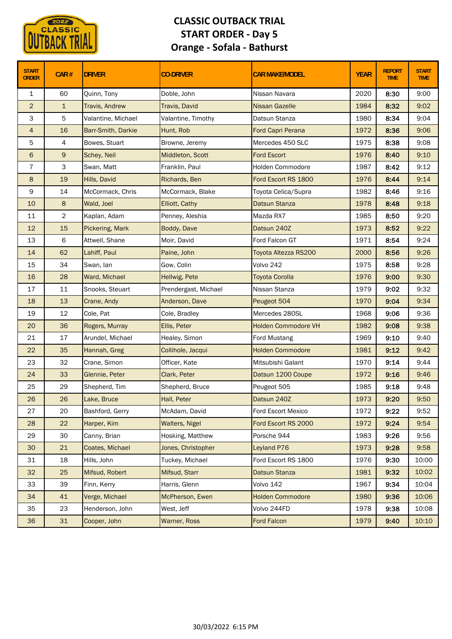

## **CLASSIC OUTBACK TRIAL START ORDER ‐ Day 5 Orange ‐ Sofala ‐ Bathurst**

| <b>START</b><br><b>ORDER</b> | CAR#           | <b>DRIVER</b>         | <b>CO-DRIVER</b>      | <b>CAR MAKE/MODEL</b>      | <b>YEAR</b> | <b>REPORT</b><br><b>TIME</b> | <b>START</b><br><b>TIME</b> |
|------------------------------|----------------|-----------------------|-----------------------|----------------------------|-------------|------------------------------|-----------------------------|
| $\mathbf{1}$                 | 60             | Quinn, Tony           | Doble, John           | Nissan Navara              | 2020        | 8:30                         | 9:00                        |
| $\overline{2}$               | $\mathbf{1}$   | <b>Travis, Andrew</b> | Travis, David         | <b>Nissan Gazelle</b>      | 1984        | 8:32                         | 9:02                        |
| 3                            | 5              | Valantine, Michael    | Valantine, Timothy    | Datsun Stanza              | 1980        | 8:34                         | 9:04                        |
| $\overline{4}$               | 16             | Barr-Smith, Darkie    | Hunt, Rob             | Ford Capri Perana          | 1972        | 8:36                         | 9:06                        |
| 5                            | 4              | Bowes, Stuart         | Browne, Jeremy        | Mercedes 450 SLC           | 1975        | 8:38                         | 9:08                        |
| 6                            | 9              | Schey, Neil           | Middleton, Scott      | <b>Ford Escort</b>         | 1976        | 8:40                         | 9:10                        |
| $\overline{7}$               | 3              | Swan, Matt            | Franklin, Paul        | Holden Commodore           | 1987        | 8:42                         | 9:12                        |
| 8                            | 19             | Hills, David          | Richards, Ben         | Ford Escort RS 1800        | 1976        | 8:44                         | 9:14                        |
| $\mathsf 9$                  | 14             | McCormack, Chris      | McCormack, Blake      | Toyota Celica/Supra        | 1982        | 8:46                         | 9:16                        |
| 10                           | 8              | Wald, Joel            | Elliott, Cathy        | <b>Datsun Stanza</b>       | 1978        | 8:48                         | 9:18                        |
| 11                           | $\overline{c}$ | Kaplan, Adam          | Penney, Aleshia       | Mazda RX7                  | 1985        | 8:50                         | 9:20                        |
| 12                           | 15             | Pickering, Mark       | Boddy, Dave           | Datsun 240Z                | 1973        | 8:52                         | 9:22                        |
| 13                           | 6              | Attwell, Shane        | Moir, David           | Ford Falcon GT             | 1971        | 8:54                         | 9:24                        |
| 14                           | 62             | Lahiff, Paul          | Paine, John           | Toyota Altezza RS200       | 2000        | 8:56                         | 9:26                        |
| 15                           | 34             | Swan, lan             | Gow, Colin            | Volvo 242                  | 1975        | 8:58                         | 9:28                        |
| 16                           | 28             | Ward, Michael         | Hellwig, Pete         | <b>Toyota Corolla</b>      | 1976        | 9:00                         | 9:30                        |
| 17                           | $11\,$         | Snooks, Steuart       | Prendergast, Michael  | Nissan Stanza              | 1979        | 9:02                         | 9:32                        |
| 18                           | 13             | Crane, Andy           | Anderson, Dave        | Peugeot 504                | 1970        | 9:04                         | 9:34                        |
| 19                           | 12             | Cole, Pat             | Cole, Bradley         | Mercedes 280SL             | 1968        | 9:06                         | 9:36                        |
| 20                           | 36             | Rogers, Murray        | Ellis, Peter          | <b>Holden Commodore VH</b> | 1982        | 9:08                         | 9:38                        |
| 21                           | 17             | Arundel, Michael      | Healey, Simon         | <b>Ford Mustang</b>        | 1969        | 9:10                         | 9:40                        |
| 22                           | 35             | Hannah, Greg          | Collihole, Jacqui     | <b>Holden Commodore</b>    | 1981        | 9:12                         | 9:42                        |
| 23                           | 32             | Crane, Simon          | Officer, Kate         | Mitsubishi Galant          | 1970        | 9:14                         | 9:44                        |
| 24                           | 33             | Glennie, Peter        | Clark, Peter          | Datsun 1200 Coupe          | 1972        | 9:16                         | 9:46                        |
| 25                           | 29             | Shepherd, Tim         | Shepherd, Bruce       | Peugeot 505                | 1985        | 9:18                         | 9:48                        |
| 26                           | 26             | Lake, Bruce           | Hall, Peter           | Datsun 240Z                | 1973        | 9:20                         | 9:50                        |
| 27                           | 20             | Bashford, Gerry       | McAdam, David         | Ford Escort Mexico         | 1972        | 9:22                         | 9:52                        |
| 28                           | 22             | Harper, Kim           | <b>Walters, Nigel</b> | Ford Escort RS 2000        | 1972        | 9:24                         | 9:54                        |
| 29                           | 30             | Canny, Brian          | Hosking, Matthew      | Porsche 944                | 1983        | 9:26                         | 9:56                        |
| 30                           | 21             | Coates, Michael       | Jones, Christopher    | Leyland P76                | 1973        | 9:28                         | 9:58                        |
| 31                           | 18             | Hills, John           | Tuckey, Michael       | Ford Escort RS 1800        | 1976        | 9:30                         | 10:00                       |
| 32                           | 25             | Mifsud, Robert        | Mifsud, Starr         | Datsun Stanza              | 1981        | 9:32                         | 10:02                       |
| 33                           | 39             | Finn, Kerry           | Harris, Glenn         | Volvo 142                  | 1967        | 9:34                         | 10:04                       |
| 34                           | 41             | Verge, Michael        | McPherson, Ewen       | <b>Holden Commodore</b>    | 1980        | 9:36                         | 10:06                       |
| 35                           | 23             | Henderson, John       | West, Jeff            | Volvo 244FD                | 1978        | 9:38                         | 10:08                       |
| 36                           | 31             | Cooper, John          | Warner, Ross          | <b>Ford Falcon</b>         | 1979        | 9:40                         | 10:10                       |